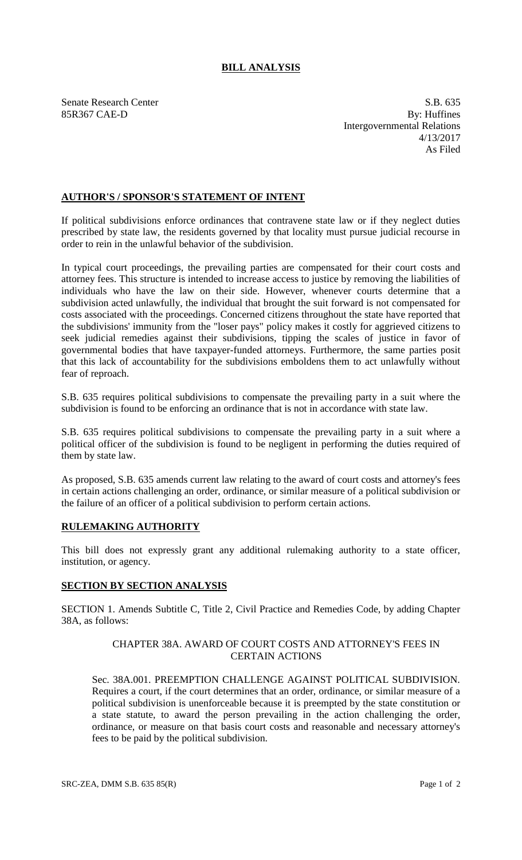# **BILL ANALYSIS**

85R367 CAE-D

Senate Research Center S.B. 635<br>
85R367 CAE-D By: Huffines Intergovernmental Relations 4/13/2017 As Filed

## **AUTHOR'S / SPONSOR'S STATEMENT OF INTENT**

If political subdivisions enforce ordinances that contravene state law or if they neglect duties prescribed by state law, the residents governed by that locality must pursue judicial recourse in order to rein in the unlawful behavior of the subdivision.

In typical court proceedings, the prevailing parties are compensated for their court costs and attorney fees. This structure is intended to increase access to justice by removing the liabilities of individuals who have the law on their side. However, whenever courts determine that a subdivision acted unlawfully, the individual that brought the suit forward is not compensated for costs associated with the proceedings. Concerned citizens throughout the state have reported that the subdivisions' immunity from the "loser pays" policy makes it costly for aggrieved citizens to seek judicial remedies against their subdivisions, tipping the scales of justice in favor of governmental bodies that have taxpayer-funded attorneys. Furthermore, the same parties posit that this lack of accountability for the subdivisions emboldens them to act unlawfully without fear of reproach.

S.B. 635 requires political subdivisions to compensate the prevailing party in a suit where the subdivision is found to be enforcing an ordinance that is not in accordance with state law.

S.B. 635 requires political subdivisions to compensate the prevailing party in a suit where a political officer of the subdivision is found to be negligent in performing the duties required of them by state law.

As proposed, S.B. 635 amends current law relating to the award of court costs and attorney's fees in certain actions challenging an order, ordinance, or similar measure of a political subdivision or the failure of an officer of a political subdivision to perform certain actions.

### **RULEMAKING AUTHORITY**

This bill does not expressly grant any additional rulemaking authority to a state officer, institution, or agency.

### **SECTION BY SECTION ANALYSIS**

SECTION 1. Amends Subtitle C, Title 2, Civil Practice and Remedies Code, by adding Chapter 38A, as follows:

### CHAPTER 38A. AWARD OF COURT COSTS AND ATTORNEY'S FEES IN CERTAIN ACTIONS

Sec. 38A.001. PREEMPTION CHALLENGE AGAINST POLITICAL SUBDIVISION. Requires a court, if the court determines that an order, ordinance, or similar measure of a political subdivision is unenforceable because it is preempted by the state constitution or a state statute, to award the person prevailing in the action challenging the order, ordinance, or measure on that basis court costs and reasonable and necessary attorney's fees to be paid by the political subdivision.